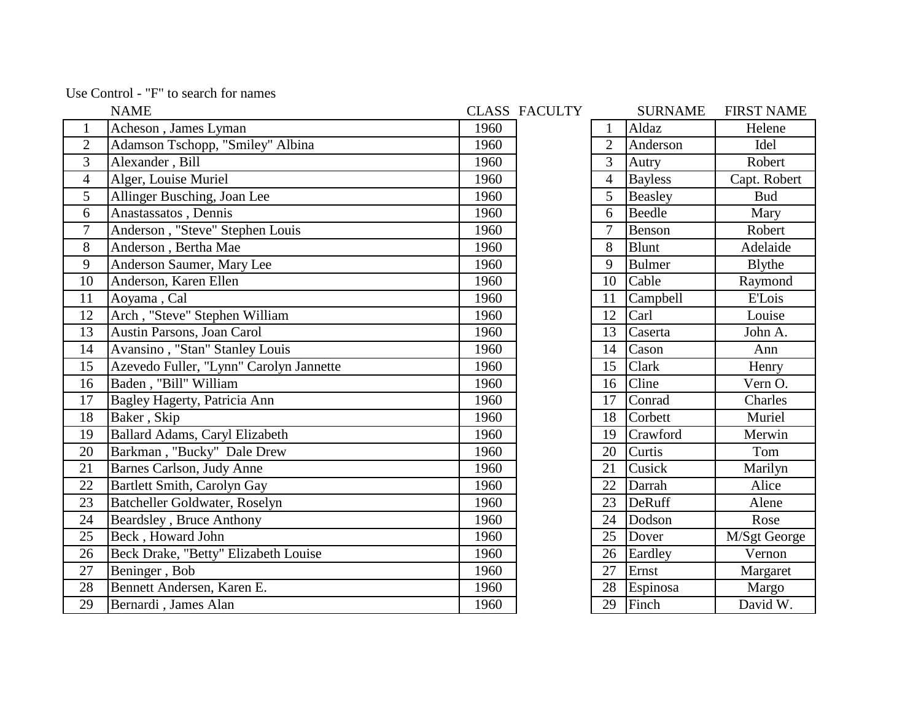| Use Control - "F" to search for names |  |  |  |  |  |
|---------------------------------------|--|--|--|--|--|
|---------------------------------------|--|--|--|--|--|

|                          | <b>NAME</b>                             |      | <b>CLASS FACULTY</b> |                | <b>SURNAME</b> | <b>FIRST NAME</b> |
|--------------------------|-----------------------------------------|------|----------------------|----------------|----------------|-------------------|
| 1                        | Acheson, James Lyman                    | 1960 |                      | 1              | Aldaz          | Helene            |
| $\mathbf{2}$             | Adamson Tschopp, "Smiley" Albina        | 1960 |                      | $\overline{2}$ | Anderson       | Idel              |
| $\overline{3}$           | Alexander, Bill                         | 1960 |                      | $\overline{3}$ | Autry          | Robert            |
| $\overline{\mathcal{A}}$ | Alger, Louise Muriel                    | 1960 |                      | $\overline{4}$ | <b>Bayless</b> | Capt. Robert      |
| 5                        | Allinger Busching, Joan Lee             | 1960 |                      | 5              | Beasley        | <b>Bud</b>        |
| 6                        | Anastassatos, Dennis                    | 1960 |                      | 6              | Beedle         | Mary              |
| $\overline{7}$           | Anderson, "Steve" Stephen Louis         | 1960 |                      | $\overline{7}$ | Benson         | Robert            |
| 8                        | Anderson, Bertha Mae                    | 1960 |                      | 8              | <b>Blunt</b>   | Adelaide          |
| 9                        | Anderson Saumer, Mary Lee               | 1960 |                      | 9              | <b>Bulmer</b>  | <b>B</b> lythe    |
| 10                       | Anderson, Karen Ellen                   | 1960 |                      | 10             | Cable          | Raymond           |
| 11                       | Aoyama, Cal                             | 1960 |                      | 11             | Campbell       | <b>E'Lois</b>     |
| 12                       | Arch, "Steve" Stephen William           | 1960 |                      | 12             | Carl           | Louise            |
| 13                       | <b>Austin Parsons, Joan Carol</b>       | 1960 |                      | 13             | Caserta        | John A.           |
| 14                       | Avansino, "Stan" Stanley Louis          | 1960 |                      | 14             | Cason          | Ann               |
| 15                       | Azevedo Fuller, "Lynn" Carolyn Jannette | 1960 |                      | 15             | Clark          | Henry             |
| 16                       | Baden, "Bill" William                   | 1960 |                      | 16             | Cline          | Vern O.           |
| 17                       | Bagley Hagerty, Patricia Ann            | 1960 |                      | 17             | Conrad         | Charles           |
| 18                       | Baker, Skip                             | 1960 |                      | 18             | Corbett        | Muriel            |
| 19                       | <b>Ballard Adams, Caryl Elizabeth</b>   | 1960 |                      | 19             | Crawford       | Merwin            |
| 20                       | Barkman, "Bucky" Dale Drew              | 1960 |                      | 20             | Curtis         | Tom               |
| 21                       | Barnes Carlson, Judy Anne               | 1960 |                      | 21             | Cusick         | Marilyn           |
| 22                       | Bartlett Smith, Carolyn Gay             | 1960 |                      | 22             | Darrah         | Alice             |
| 23                       | Batcheller Goldwater, Roselyn           | 1960 |                      | 23             | DeRuff         | Alene             |
| 24                       | Beardsley, Bruce Anthony                | 1960 |                      | 24             | Dodson         | Rose              |
| 25                       | Beck, Howard John                       | 1960 |                      | 25             | Dover          | M/Sgt George      |
| 26                       | Beck Drake, "Betty" Elizabeth Louise    | 1960 |                      | 26             | Eardley        | Vernon            |
| 27                       | Beninger, Bob                           | 1960 |                      | 27             | Ernst          | Margaret          |
| 28                       | Bennett Andersen, Karen E.              | 1960 |                      | 28             | Espinosa       | Margo             |
| 29                       | Bernardi, James Alan                    | 1960 |                      | 29             | Finch          | David W.          |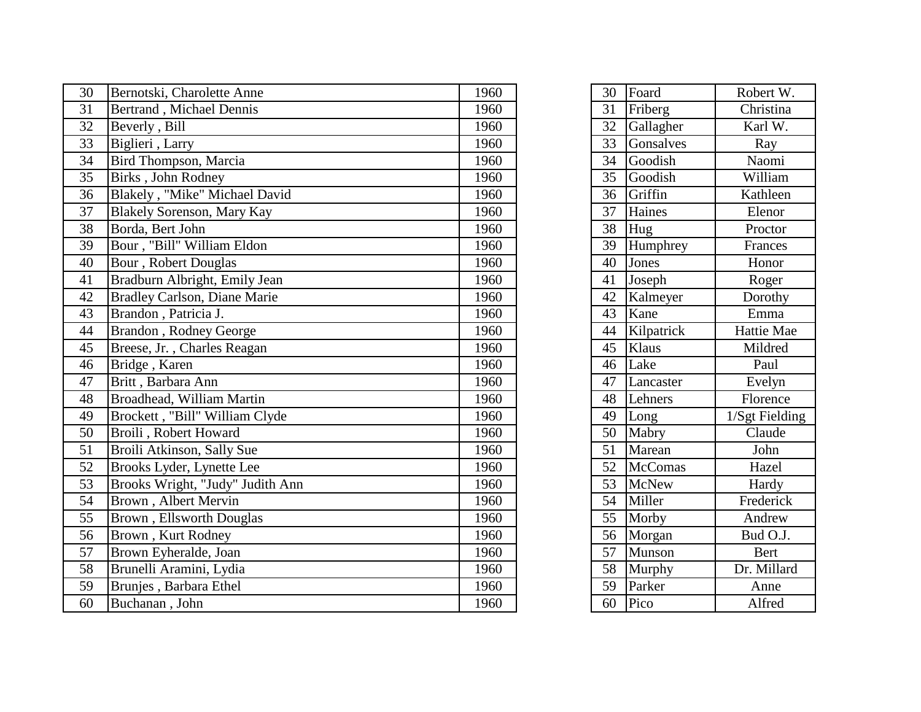| 30 | Bernotski, Charolette Anne       | 1960 | 30 | Foard      | Robert W.                    |
|----|----------------------------------|------|----|------------|------------------------------|
| 31 | <b>Bertrand</b> , Michael Dennis | 1960 | 31 | Friberg    | Christina                    |
| 32 | Beverly, Bill                    | 1960 | 32 | Gallagher  | Karl W.                      |
| 33 | Biglieri, Larry                  | 1960 | 33 | Gonsalves  | Ray                          |
| 34 | Bird Thompson, Marcia            | 1960 | 34 | Goodish    | Naomi                        |
| 35 | Birks, John Rodney               | 1960 | 35 | Goodish    | William                      |
| 36 | Blakely, "Mike" Michael David    | 1960 | 36 | Griffin    | Kathleen                     |
| 37 | Blakely Sorenson, Mary Kay       | 1960 | 37 | Haines     | Elenor                       |
| 38 | Borda, Bert John                 | 1960 | 38 | Hug        | Proctor                      |
| 39 | Bour, "Bill" William Eldon       | 1960 | 39 | Humphrey   | Frances                      |
| 40 | <b>Bour</b> , Robert Douglas     | 1960 | 40 | Jones      | Honor                        |
| 41 | Bradburn Albright, Emily Jean    | 1960 | 41 | Joseph     | Roger                        |
| 42 | Bradley Carlson, Diane Marie     | 1960 | 42 | Kalmeyer   | Dorothy                      |
| 43 | Brandon, Patricia J.             | 1960 | 43 | Kane       | Emma                         |
| 44 | Brandon, Rodney George           | 1960 | 44 | Kilpatrick | Hattie Mae                   |
| 45 | Breese, Jr., Charles Reagan      | 1960 | 45 | Klaus      | Mildred                      |
| 46 | Bridge, Karen                    | 1960 | 46 | Lake       | Paul                         |
| 47 | Britt, Barbara Ann               | 1960 | 47 | Lancaster  | Evelyn                       |
| 48 | Broadhead, William Martin        | 1960 | 48 | Lehners    | Florence                     |
| 49 | Brockett, "Bill" William Clyde   | 1960 | 49 | Long       | $\overline{1/S}$ gt Fielding |
| 50 | Broili, Robert Howard            | 1960 | 50 | Mabry      | Claude                       |
| 51 | Broili Atkinson, Sally Sue       | 1960 | 51 | Marean     | John                         |
| 52 | Brooks Lyder, Lynette Lee        | 1960 | 52 | McComas    | Hazel                        |
| 53 | Brooks Wright, "Judy" Judith Ann | 1960 | 53 | McNew      | Hardy                        |
| 54 | Brown, Albert Mervin             | 1960 | 54 | Miller     | Frederick                    |
| 55 | Brown, Ellsworth Douglas         | 1960 | 55 | Morby      | Andrew                       |
| 56 | Brown, Kurt Rodney               | 1960 | 56 | Morgan     | Bud O.J.                     |
| 57 | Brown Eyheralde, Joan            | 1960 | 57 | Munson     | Bert                         |
| 58 | Brunelli Aramini, Lydia          | 1960 | 58 | Murphy     | Dr. Millard                  |
| 59 | Brunjes, Barbara Ethel           | 1960 | 59 | Parker     | Anne                         |
| 60 | Buchanan, John                   | 1960 | 60 | Pico       | Alfred                       |

| 30              | Foard          | Robert W.      |
|-----------------|----------------|----------------|
| $\overline{31}$ | Friberg        | Christina      |
| 32              | Gallagher      | Karl W.        |
| $\overline{33}$ | Gonsalves      | Ray            |
| 34              | Goodish        | Naomi          |
| $\overline{35}$ | Goodish        | William        |
| 36              | Griffin        | Kathleen       |
| $\overline{37}$ | Haines         | Elenor         |
| $\overline{38}$ | Hug            | Proctor        |
| 39              | Humphrey       | Frances        |
| 40              | Jones          | Honor          |
| 41              | Joseph         | Roger          |
| 42              | Kalmeyer       | Dorothy        |
| $\overline{43}$ | Kane           | Emma           |
| $\overline{44}$ | Kilpatrick     | Hattie Mae     |
| $\overline{45}$ | Klaus          | Mildred        |
| $\overline{46}$ | Lake           | Paul           |
| 47              | Lancaster      | Evelyn         |
| 48              | Lehners        | Florence       |
| 49              | Long           | 1/Sgt Fielding |
| 50              | Mabry          | Claude         |
| $\overline{51}$ | Marean         | John           |
| $\overline{52}$ | <b>McComas</b> | Hazel          |
| $\overline{53}$ | <b>McNew</b>   | Hardy          |
| $\overline{54}$ | Miller         | Frederick      |
| $\overline{55}$ | Morby          | Andrew         |
| $\overline{56}$ | Morgan         | Bud O.J.       |
| $\overline{57}$ | Munson         | <b>Bert</b>    |
| 58              | Murphy         | Dr. Millard    |
| $\overline{59}$ | Parker         | Anne           |
| 60              | Pico           | Alfred         |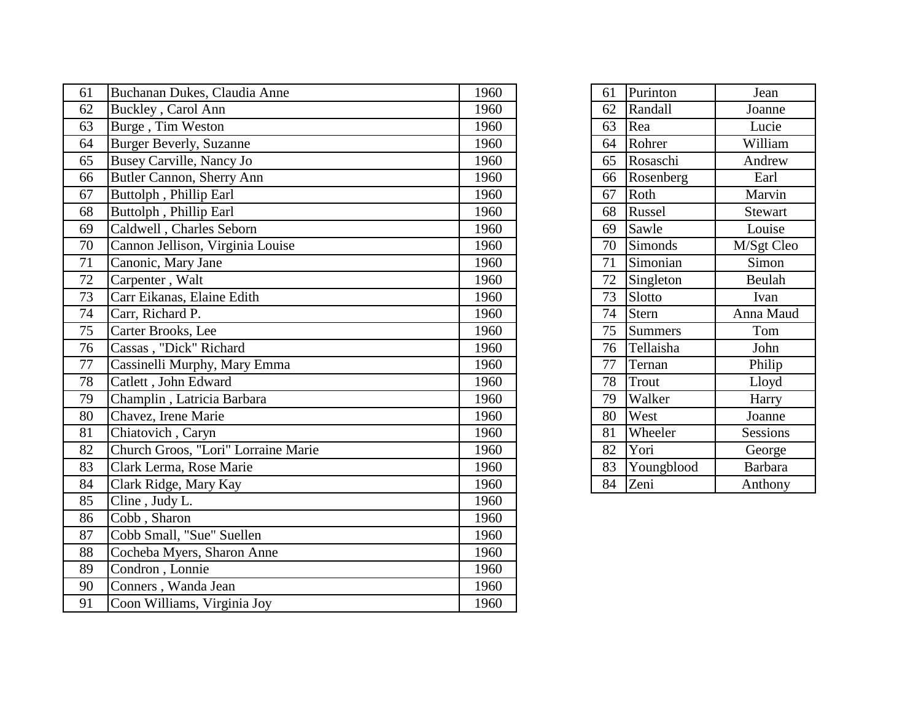| 61              | Buchanan Dukes, Claudia Anne        | 1960 | 61 | Purinton       | Jean            |
|-----------------|-------------------------------------|------|----|----------------|-----------------|
| 62              | Buckley, Carol Ann                  | 1960 | 62 | Randall        | Joanne          |
| 63              | Burge, Tim Weston                   | 1960 | 63 | Rea            | Lucie           |
| 64              | <b>Burger Beverly, Suzanne</b>      | 1960 | 64 | Rohrer         | William         |
| 65              | Busey Carville, Nancy Jo            | 1960 | 65 | Rosaschi       | Andrew          |
| 66              | Butler Cannon, Sherry Ann           | 1960 | 66 | Rosenberg      | Earl            |
| 67              | Buttolph, Phillip Earl              | 1960 | 67 | Roth           | Marvin          |
| 68              | Buttolph, Phillip Earl              | 1960 | 68 | Russel         | Stewart         |
| 69              | Caldwell, Charles Seborn            | 1960 | 69 | Sawle          | Louise          |
| 70              | Cannon Jellison, Virginia Louise    | 1960 | 70 | Simonds        | M/Sgt Cleo      |
| 71              | Canonic, Mary Jane                  | 1960 | 71 | Simonian       | Simon           |
| 72              | Carpenter, Walt                     | 1960 | 72 | Singleton      | Beulah          |
| 73              | Carr Eikanas, Elaine Edith          | 1960 | 73 | Slotto         | Ivan            |
| $\overline{74}$ | Carr, Richard P.                    | 1960 | 74 | <b>Stern</b>   | Anna Maud       |
| 75              | Carter Brooks, Lee                  | 1960 | 75 | <b>Summers</b> | Tom             |
| 76              | Cassas, "Dick" Richard              | 1960 | 76 | Tellaisha      | John            |
| 77              | Cassinelli Murphy, Mary Emma        | 1960 | 77 | Ternan         | Philip          |
| 78              | Catlett, John Edward                | 1960 | 78 | Trout          | Lloyd           |
| 79              | Champlin, Latricia Barbara          | 1960 | 79 | Walker         | Harry           |
| 80              | Chavez, Irene Marie                 | 1960 | 80 | West           | Joanne          |
| 81              | Chiatovich, Caryn                   | 1960 | 81 | Wheeler        | <b>Sessions</b> |
| 82              | Church Groos, "Lori" Lorraine Marie | 1960 | 82 | Yori           | George          |
| 83              | Clark Lerma, Rose Marie             | 1960 | 83 | Youngblood     | <b>Barbara</b>  |
| 84              | Clark Ridge, Mary Kay               | 1960 | 84 | Zeni           | Anthony         |
| 85              | Cline, Judy L.                      | 1960 |    |                |                 |
| 86              | Cobb, Sharon                        | 1960 |    |                |                 |
| 87              | Cobb Small, "Sue" Suellen           | 1960 |    |                |                 |
| 88              | Cocheba Myers, Sharon Anne          | 1960 |    |                |                 |
| 89              | Condron, Lonnie                     | 1960 |    |                |                 |
| 90              | Conners, Wanda Jean                 | 1960 |    |                |                 |
| $\overline{91}$ | Coon Williams, Virginia Joy         | 1960 |    |                |                 |

| 61 | Purinton       | Jean           |
|----|----------------|----------------|
| 62 | Randall        | Joanne         |
| 63 | Rea            | Lucie          |
| 64 | Rohrer         | William        |
| 65 | Rosaschi       | Andrew         |
| 66 | Rosenberg      | Earl           |
| 67 | Roth           | Marvin         |
| 68 | Russel         | Stewart        |
| 69 | Sawle          | Louise         |
| 70 | Simonds        | M/Sgt Cleo     |
| 71 | Simonian       | Simon          |
| 72 | Singleton      | Beulah         |
| 73 | Slotto         | Ivan           |
| 74 | Stern          | Anna Maud      |
| 75 | <b>Summers</b> | Tom            |
| 76 | Tellaisha      | John           |
| 77 | Ternan         | Philip         |
| 78 | Trout          | Lloyd          |
| 79 | Walker         | Harry          |
| 80 | West           | Joanne         |
| 81 | Wheeler        | Sessions       |
| 82 | Yori           | George         |
| 83 | Youngblood     | <b>Barbara</b> |
| 84 | Zeni           | Anthony        |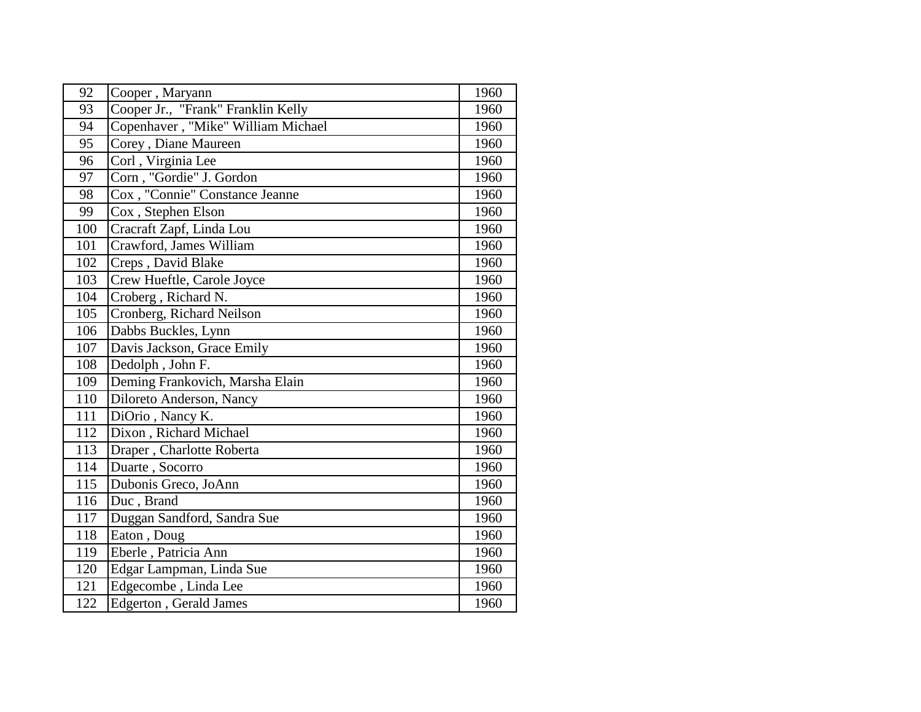| 92  | Cooper, Maryann                    | 1960 |
|-----|------------------------------------|------|
| 93  | Cooper Jr., "Frank" Franklin Kelly | 1960 |
| 94  | Copenhaver, "Mike" William Michael | 1960 |
| 95  | Corey, Diane Maureen               | 1960 |
| 96  | Corl, Virginia Lee                 | 1960 |
| 97  | Corn, "Gordie" J. Gordon           | 1960 |
| 98  | Cox, "Connie" Constance Jeanne     | 1960 |
| 99  | Cox, Stephen Elson                 | 1960 |
| 100 | Cracraft Zapf, Linda Lou           | 1960 |
| 101 | Crawford, James William            | 1960 |
| 102 | Creps, David Blake                 | 1960 |
| 103 | Crew Hueftle, Carole Joyce         | 1960 |
| 104 | Croberg, Richard N.                | 1960 |
| 105 | Cronberg, Richard Neilson          | 1960 |
| 106 | Dabbs Buckles, Lynn                | 1960 |
| 107 | Davis Jackson, Grace Emily         | 1960 |
| 108 | Dedolph, John F.                   | 1960 |
| 109 | Deming Frankovich, Marsha Elain    | 1960 |
| 110 | Diloreto Anderson, Nancy           | 1960 |
| 111 | DiOrio, Nancy K.                   | 1960 |
| 112 | Dixon, Richard Michael             | 1960 |
| 113 | Draper, Charlotte Roberta          | 1960 |
| 114 | Duarte, Socorro                    | 1960 |
| 115 | Dubonis Greco, JoAnn               | 1960 |
| 116 | Duc, Brand                         | 1960 |
| 117 | Duggan Sandford, Sandra Sue        | 1960 |
| 118 | Eaton, Doug                        | 1960 |
| 119 | Eberle, Patricia Ann               | 1960 |
| 120 | Edgar Lampman, Linda Sue           | 1960 |
| 121 | Edgecombe, Linda Lee               | 1960 |
| 122 | <b>Edgerton</b> , Gerald James     | 1960 |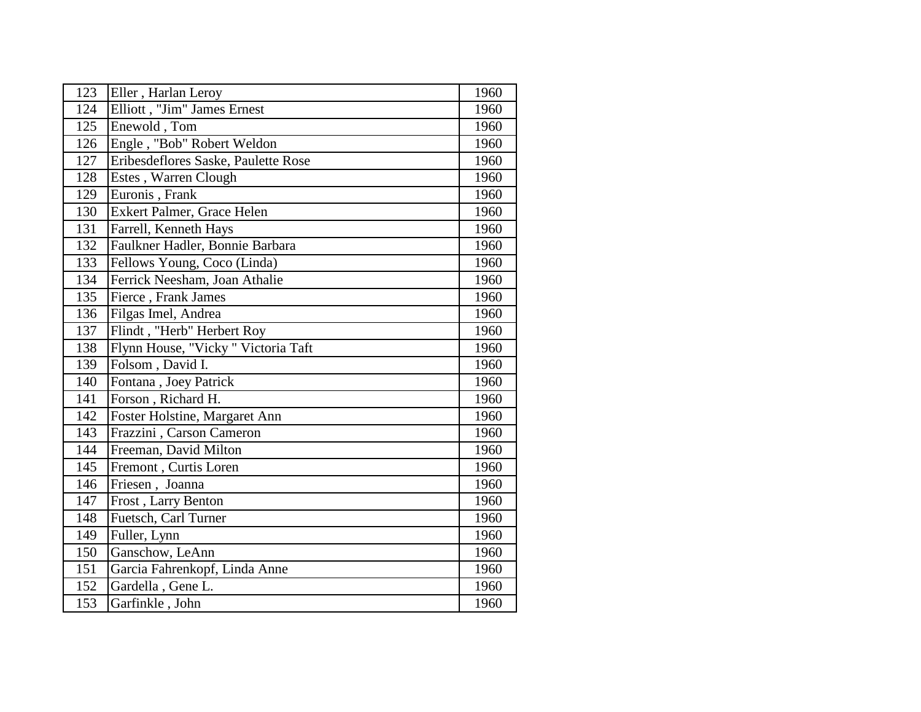| 123 | Eller, Harlan Leroy                 | 1960 |
|-----|-------------------------------------|------|
| 124 | Elliott, "Jim" James Ernest         | 1960 |
| 125 | Enewold, Tom                        | 1960 |
| 126 | Engle, "Bob" Robert Weldon          | 1960 |
| 127 | Eribesdeflores Saske, Paulette Rose | 1960 |
| 128 | Estes, Warren Clough                | 1960 |
| 129 | Euronis, Frank                      | 1960 |
| 130 | Exkert Palmer, Grace Helen          | 1960 |
| 131 | Farrell, Kenneth Hays               | 1960 |
| 132 | Faulkner Hadler, Bonnie Barbara     | 1960 |
| 133 | Fellows Young, Coco (Linda)         | 1960 |
| 134 | Ferrick Neesham, Joan Athalie       | 1960 |
| 135 | Fierce, Frank James                 | 1960 |
| 136 | Filgas Imel, Andrea                 | 1960 |
| 137 | Flindt, "Herb" Herbert Roy          | 1960 |
| 138 | Flynn House, "Vicky " Victoria Taft | 1960 |
| 139 | Folsom, David I.                    | 1960 |
| 140 | Fontana, Joey Patrick               | 1960 |
| 141 | Forson, Richard H.                  | 1960 |
| 142 | Foster Holstine, Margaret Ann       | 1960 |
| 143 | Frazzini, Carson Cameron            | 1960 |
| 144 | Freeman, David Milton               | 1960 |
| 145 | Fremont, Curtis Loren               | 1960 |
| 146 | Friesen, Joanna                     | 1960 |
| 147 | Frost, Larry Benton                 | 1960 |
| 148 | Fuetsch, Carl Turner                | 1960 |
| 149 | Fuller, Lynn                        | 1960 |
| 150 | Ganschow, LeAnn                     | 1960 |
| 151 | Garcia Fahrenkopf, Linda Anne       | 1960 |
| 152 | Gardella, Gene L.                   | 1960 |
| 153 | Garfinkle, John                     | 1960 |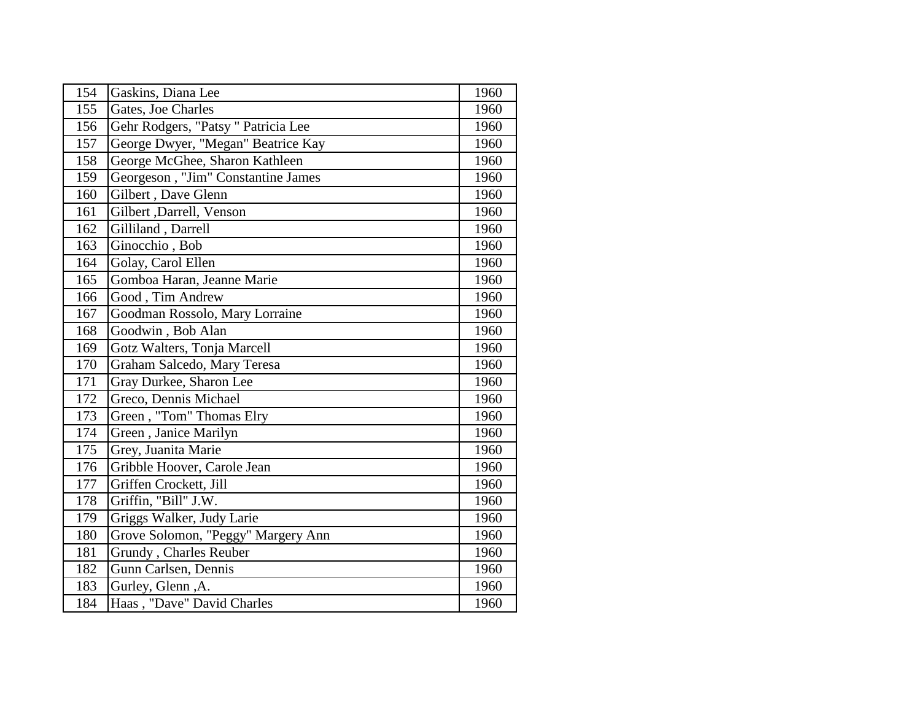| 154 | Gaskins, Diana Lee                  | 1960 |
|-----|-------------------------------------|------|
| 155 | Gates, Joe Charles                  | 1960 |
| 156 | Gehr Rodgers, "Patsy " Patricia Lee | 1960 |
| 157 | George Dwyer, "Megan" Beatrice Kay  | 1960 |
| 158 | George McGhee, Sharon Kathleen      | 1960 |
| 159 | Georgeson, "Jim" Constantine James  | 1960 |
| 160 | Gilbert, Dave Glenn                 | 1960 |
| 161 | Gilbert , Darrell, Venson           | 1960 |
| 162 | Gilliland, Darrell                  | 1960 |
| 163 | Ginocchio, Bob                      | 1960 |
| 164 | Golay, Carol Ellen                  | 1960 |
| 165 | Gomboa Haran, Jeanne Marie          | 1960 |
| 166 | Good, Tim Andrew                    | 1960 |
| 167 | Goodman Rossolo, Mary Lorraine      | 1960 |
| 168 | Goodwin, Bob Alan                   | 1960 |
| 169 | Gotz Walters, Tonja Marcell         | 1960 |
| 170 | Graham Salcedo, Mary Teresa         | 1960 |
| 171 | Gray Durkee, Sharon Lee             | 1960 |
| 172 | Greco, Dennis Michael               | 1960 |
| 173 | Green, "Tom" Thomas Elry            | 1960 |
| 174 | Green, Janice Marilyn               | 1960 |
| 175 | Grey, Juanita Marie                 | 1960 |
| 176 | Gribble Hoover, Carole Jean         | 1960 |
| 177 | Griffen Crockett, Jill              | 1960 |
| 178 | Griffin, "Bill" J.W.                | 1960 |
| 179 | Griggs Walker, Judy Larie           | 1960 |
| 180 | Grove Solomon, "Peggy" Margery Ann  | 1960 |
| 181 | Grundy, Charles Reuber              | 1960 |
| 182 | Gunn Carlsen, Dennis                | 1960 |
| 183 | Gurley, Glenn, A.                   | 1960 |
| 184 | Haas, "Dave" David Charles          | 1960 |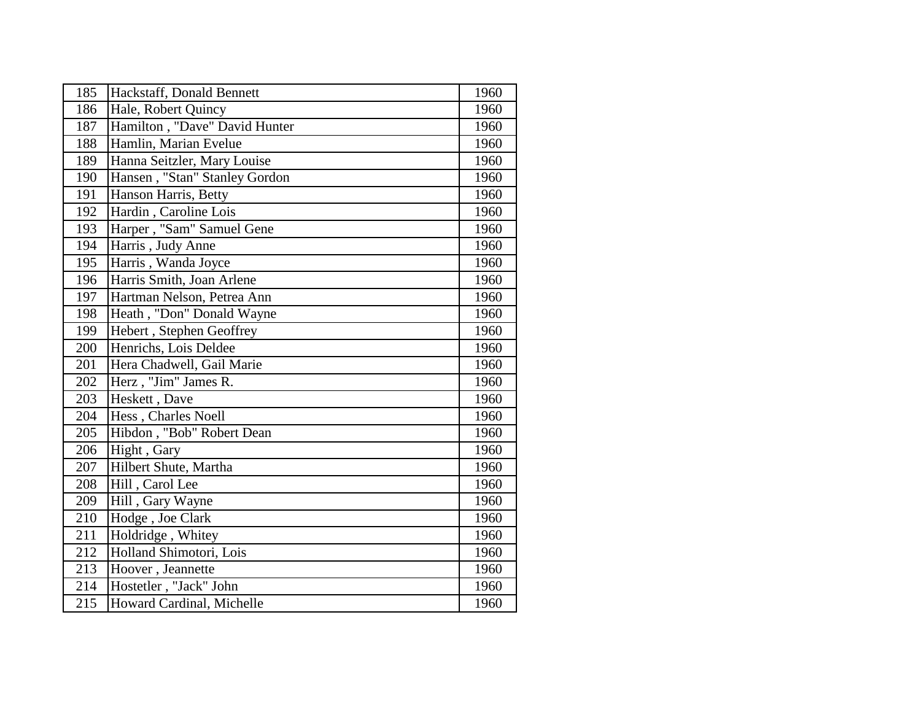| 185 | Hackstaff, Donald Bennett     | 1960 |
|-----|-------------------------------|------|
| 186 | Hale, Robert Quincy           | 1960 |
| 187 | Hamilton, "Dave" David Hunter | 1960 |
| 188 | Hamlin, Marian Evelue         | 1960 |
| 189 | Hanna Seitzler, Mary Louise   | 1960 |
| 190 | Hansen, "Stan" Stanley Gordon | 1960 |
| 191 | Hanson Harris, Betty          | 1960 |
| 192 | Hardin, Caroline Lois         | 1960 |
| 193 | Harper, "Sam" Samuel Gene     | 1960 |
| 194 | Harris, Judy Anne             | 1960 |
| 195 | Harris, Wanda Joyce           | 1960 |
| 196 | Harris Smith, Joan Arlene     | 1960 |
| 197 | Hartman Nelson, Petrea Ann    | 1960 |
| 198 | Heath, "Don" Donald Wayne     | 1960 |
| 199 | Hebert, Stephen Geoffrey      | 1960 |
| 200 | Henrichs, Lois Deldee         | 1960 |
| 201 | Hera Chadwell, Gail Marie     | 1960 |
| 202 | Herz, "Jim" James R.          | 1960 |
| 203 | Heskett, Dave                 | 1960 |
| 204 | Hess, Charles Noell           | 1960 |
| 205 | Hibdon, "Bob" Robert Dean     | 1960 |
| 206 | Hight, Gary                   | 1960 |
| 207 | Hilbert Shute, Martha         | 1960 |
| 208 | Hill, Carol Lee               | 1960 |
| 209 | Hill, Gary Wayne              | 1960 |
| 210 | Hodge, Joe Clark              | 1960 |
| 211 | Holdridge, Whitey             | 1960 |
| 212 | Holland Shimotori, Lois       | 1960 |
| 213 | Hoover, Jeannette             | 1960 |
| 214 | Hostetler, "Jack" John        | 1960 |
| 215 | Howard Cardinal, Michelle     | 1960 |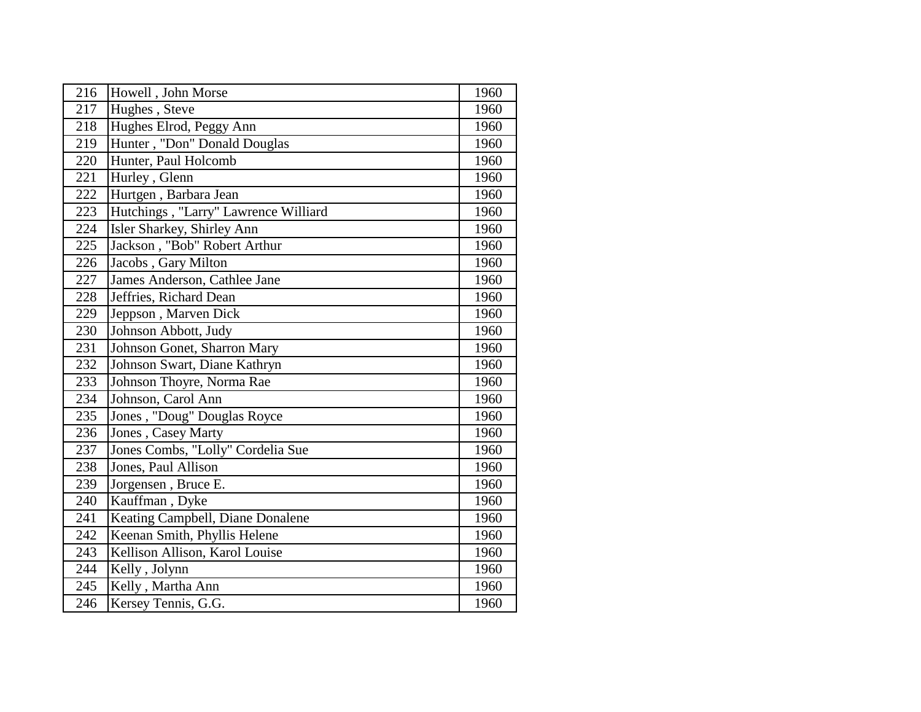| 216 | Howell, John Morse                   | 1960 |
|-----|--------------------------------------|------|
| 217 | Hughes, Steve                        | 1960 |
| 218 | Hughes Elrod, Peggy Ann              | 1960 |
| 219 | Hunter, "Don" Donald Douglas         | 1960 |
| 220 | Hunter, Paul Holcomb                 | 1960 |
| 221 | Hurley, Glenn                        | 1960 |
| 222 | Hurtgen, Barbara Jean                | 1960 |
| 223 | Hutchings, "Larry" Lawrence Williard | 1960 |
| 224 | Isler Sharkey, Shirley Ann           | 1960 |
| 225 | Jackson, "Bob" Robert Arthur         | 1960 |
| 226 | Jacobs, Gary Milton                  | 1960 |
| 227 | James Anderson, Cathlee Jane         | 1960 |
| 228 | Jeffries, Richard Dean               | 1960 |
| 229 | Jeppson, Marven Dick                 | 1960 |
| 230 | Johnson Abbott, Judy                 | 1960 |
| 231 | Johnson Gonet, Sharron Mary          | 1960 |
| 232 | Johnson Swart, Diane Kathryn         | 1960 |
| 233 | Johnson Thoyre, Norma Rae            | 1960 |
| 234 | Johnson, Carol Ann                   | 1960 |
| 235 | Jones, "Doug" Douglas Royce          | 1960 |
| 236 | Jones, Casey Marty                   | 1960 |
| 237 | Jones Combs, "Lolly" Cordelia Sue    | 1960 |
| 238 | Jones, Paul Allison                  | 1960 |
| 239 | Jorgensen, Bruce E.                  | 1960 |
| 240 | Kauffman, Dyke                       | 1960 |
| 241 | Keating Campbell, Diane Donalene     | 1960 |
| 242 | Keenan Smith, Phyllis Helene         | 1960 |
| 243 | Kellison Allison, Karol Louise       | 1960 |
| 244 | Kelly, Jolynn                        | 1960 |
| 245 | Kelly, Martha Ann                    | 1960 |
| 246 | Kersey Tennis, G.G.                  | 1960 |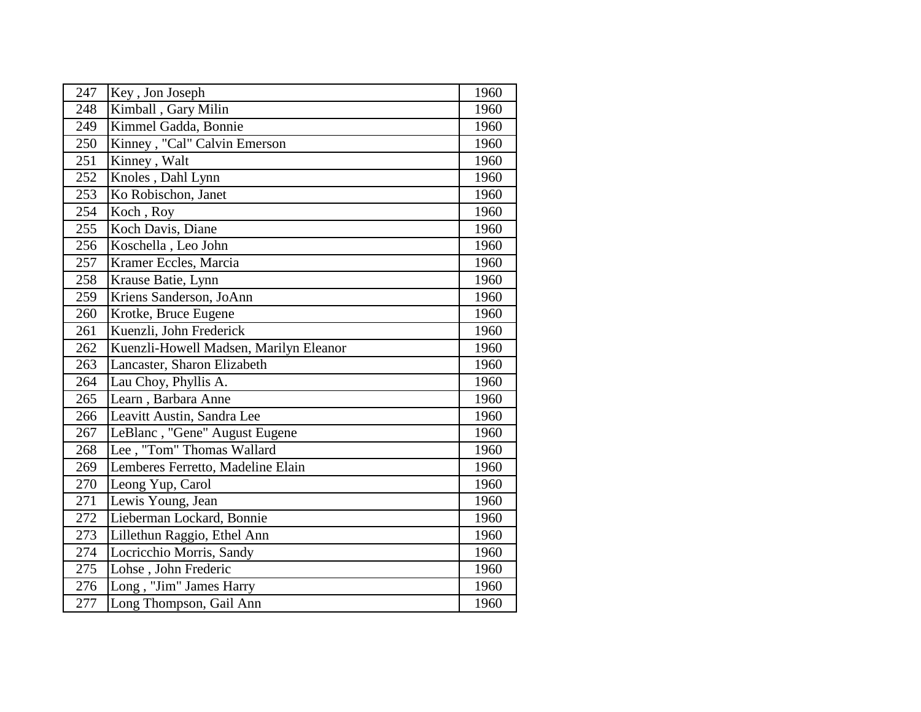| 247 | Key, Jon Joseph                        | 1960 |
|-----|----------------------------------------|------|
| 248 | Kimball, Gary Milin                    | 1960 |
| 249 | Kimmel Gadda, Bonnie                   | 1960 |
| 250 | Kinney, "Cal" Calvin Emerson           | 1960 |
| 251 | Kinney, Walt                           | 1960 |
| 252 | Knoles, Dahl Lynn                      | 1960 |
| 253 | Ko Robischon, Janet                    | 1960 |
| 254 | Koch, Roy                              | 1960 |
| 255 | Koch Davis, Diane                      | 1960 |
| 256 | Koschella, Leo John                    | 1960 |
| 257 | Kramer Eccles, Marcia                  | 1960 |
| 258 | Krause Batie, Lynn                     | 1960 |
| 259 | Kriens Sanderson, JoAnn                | 1960 |
| 260 | Krotke, Bruce Eugene                   | 1960 |
| 261 | Kuenzli, John Frederick                | 1960 |
| 262 | Kuenzli-Howell Madsen, Marilyn Eleanor | 1960 |
| 263 | Lancaster, Sharon Elizabeth            | 1960 |
| 264 | Lau Choy, Phyllis A.                   | 1960 |
| 265 | Learn, Barbara Anne                    | 1960 |
| 266 | Leavitt Austin, Sandra Lee             | 1960 |
| 267 | LeBlanc, "Gene" August Eugene          | 1960 |
| 268 | Lee, "Tom" Thomas Wallard              | 1960 |
| 269 | Lemberes Ferretto, Madeline Elain      | 1960 |
| 270 | Leong Yup, Carol                       | 1960 |
| 271 | Lewis Young, Jean                      | 1960 |
| 272 | Lieberman Lockard, Bonnie              | 1960 |
| 273 | Lillethun Raggio, Ethel Ann            | 1960 |
| 274 | Locricchio Morris, Sandy               | 1960 |
| 275 | Lohse, John Frederic                   | 1960 |
| 276 | Long, "Jim" James Harry                | 1960 |
| 277 | Long Thompson, Gail Ann                | 1960 |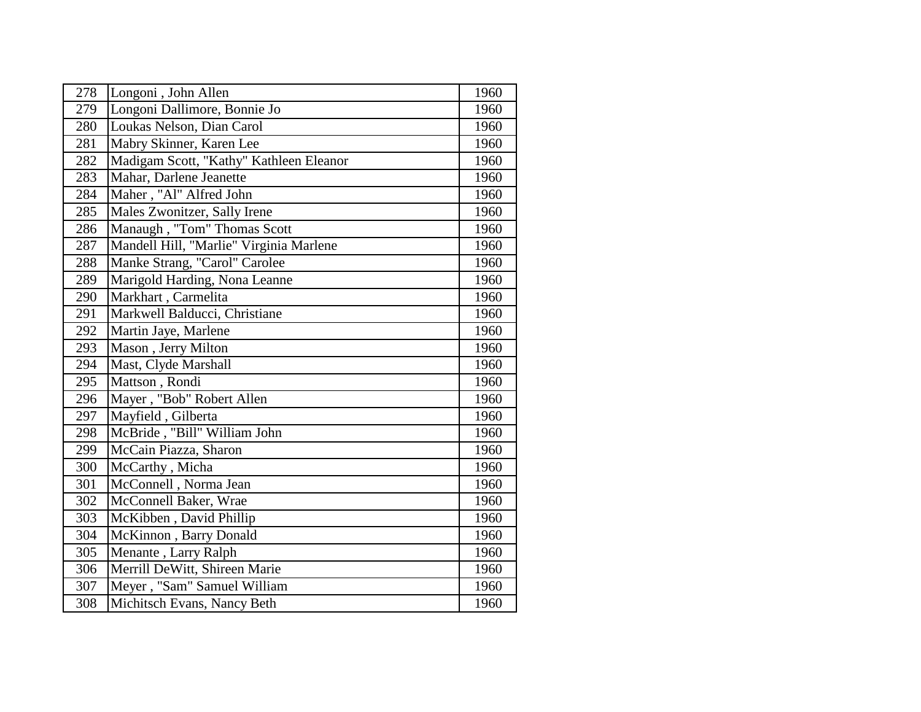| 278 | Longoni, John Allen                     | 1960 |
|-----|-----------------------------------------|------|
| 279 | Longoni Dallimore, Bonnie Jo            | 1960 |
| 280 | Loukas Nelson, Dian Carol               | 1960 |
| 281 | Mabry Skinner, Karen Lee                | 1960 |
| 282 | Madigam Scott, "Kathy" Kathleen Eleanor | 1960 |
| 283 | Mahar, Darlene Jeanette                 | 1960 |
| 284 | Maher, "Al" Alfred John                 | 1960 |
| 285 | Males Zwonitzer, Sally Irene            | 1960 |
| 286 | Manaugh, "Tom" Thomas Scott             | 1960 |
| 287 | Mandell Hill, "Marlie" Virginia Marlene | 1960 |
| 288 | Manke Strang, "Carol" Carolee           | 1960 |
| 289 | Marigold Harding, Nona Leanne           | 1960 |
| 290 | Markhart, Carmelita                     | 1960 |
| 291 | Markwell Balducci, Christiane           | 1960 |
| 292 | Martin Jaye, Marlene                    | 1960 |
| 293 | Mason, Jerry Milton                     | 1960 |
| 294 | Mast, Clyde Marshall                    | 1960 |
| 295 | Mattson, Rondi                          | 1960 |
| 296 | Mayer, "Bob" Robert Allen               | 1960 |
| 297 | Mayfield, Gilberta                      | 1960 |
| 298 | McBride, "Bill" William John            | 1960 |
| 299 | McCain Piazza, Sharon                   | 1960 |
| 300 | McCarthy, Micha                         | 1960 |
| 301 | McConnell, Norma Jean                   | 1960 |
| 302 | McConnell Baker, Wrae                   | 1960 |
| 303 | McKibben, David Phillip                 | 1960 |
| 304 | McKinnon, Barry Donald                  | 1960 |
| 305 | Menante, Larry Ralph                    | 1960 |
| 306 | Merrill DeWitt, Shireen Marie           | 1960 |
| 307 | Meyer, "Sam" Samuel William             | 1960 |
| 308 | Michitsch Evans, Nancy Beth             | 1960 |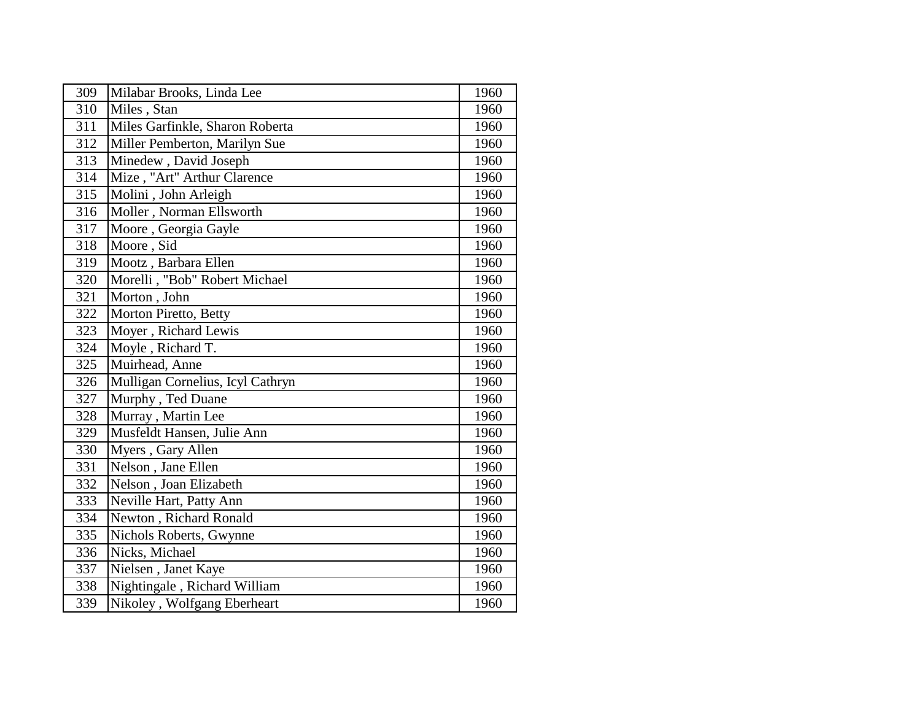| 309              | Milabar Brooks, Linda Lee        | 1960 |
|------------------|----------------------------------|------|
| 310              | Miles, Stan                      | 1960 |
| 311              | Miles Garfinkle, Sharon Roberta  | 1960 |
| 312              | Miller Pemberton, Marilyn Sue    | 1960 |
| 313              | Minedew, David Joseph            | 1960 |
| 314              | Mize, "Art" Arthur Clarence      | 1960 |
| 315              | Molini, John Arleigh             | 1960 |
| 316              | Moller, Norman Ellsworth         | 1960 |
| $\overline{317}$ | Moore, Georgia Gayle             | 1960 |
| 318              | Moore, Sid                       | 1960 |
| 319              | Mootz, Barbara Ellen             | 1960 |
| $\overline{3}20$ | Morelli, "Bob" Robert Michael    | 1960 |
| 321              | Morton, John                     | 1960 |
| 322              | Morton Piretto, Betty            | 1960 |
| 323              | Moyer, Richard Lewis             | 1960 |
| 324              | Moyle, Richard T.                | 1960 |
| 325              | Muirhead, Anne                   | 1960 |
| 326              | Mulligan Cornelius, Icyl Cathryn | 1960 |
| 327              | Murphy, Ted Duane                | 1960 |
| 328              | Murray, Martin Lee               | 1960 |
| 329              | Musfeldt Hansen, Julie Ann       | 1960 |
| 330              | Myers, Gary Allen                | 1960 |
| 331              | Nelson, Jane Ellen               | 1960 |
| 332              | Nelson, Joan Elizabeth           | 1960 |
| 333              | Neville Hart, Patty Ann          | 1960 |
| 334              | Newton, Richard Ronald           | 1960 |
| 335              | Nichols Roberts, Gwynne          | 1960 |
| 336              | Nicks, Michael                   | 1960 |
| 337              | Nielsen, Janet Kaye              | 1960 |
| 338              | Nightingale, Richard William     | 1960 |
| 339              | Nikoley, Wolfgang Eberheart      | 1960 |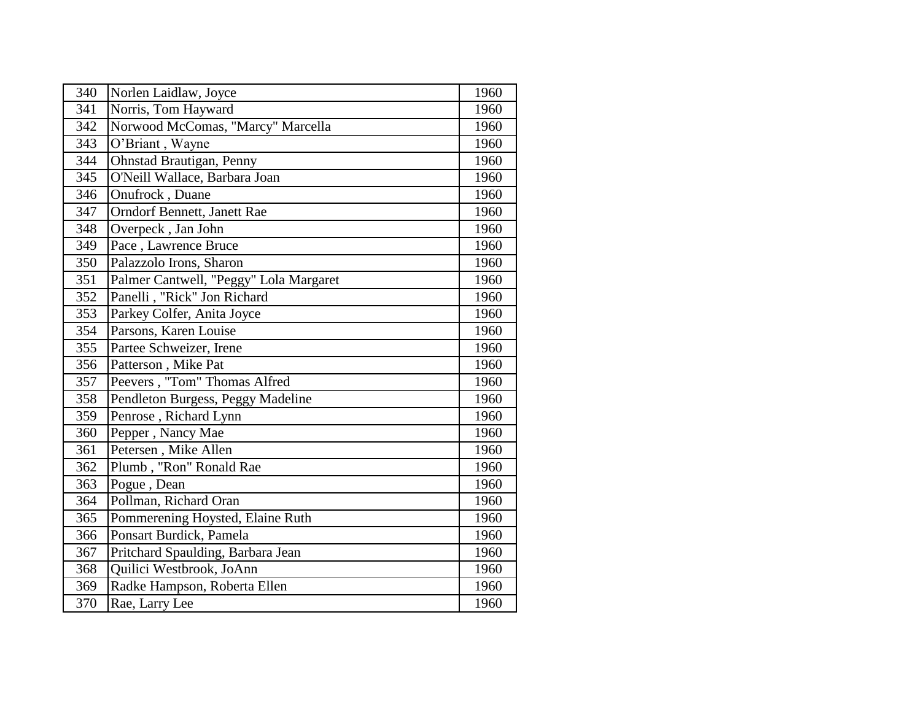| 340              | Norlen Laidlaw, Joyce                  | 1960 |
|------------------|----------------------------------------|------|
| 341              | Norris, Tom Hayward                    | 1960 |
| 342              | Norwood McComas, "Marcy" Marcella      | 1960 |
| 343              | O'Briant, Wayne                        | 1960 |
| 344              | <b>Ohnstad Brautigan, Penny</b>        | 1960 |
| 345              | O'Neill Wallace, Barbara Joan          | 1960 |
| 346              | Onufrock, Duane                        | 1960 |
| 347              | <b>Orndorf Bennett, Janett Rae</b>     | 1960 |
| 348              | Overpeck, Jan John                     | 1960 |
| 349              | Pace, Lawrence Bruce                   | 1960 |
| 350              | Palazzolo Irons, Sharon                | 1960 |
| $\overline{351}$ | Palmer Cantwell, "Peggy" Lola Margaret | 1960 |
| 352              | Panelli, "Rick" Jon Richard            | 1960 |
| 353              | Parkey Colfer, Anita Joyce             | 1960 |
| 354              | Parsons, Karen Louise                  | 1960 |
| 355              | Partee Schweizer, Irene                | 1960 |
| 356              | Patterson, Mike Pat                    | 1960 |
| 357              | Peevers, "Tom" Thomas Alfred           | 1960 |
| 358              | Pendleton Burgess, Peggy Madeline      | 1960 |
| 359              | Penrose, Richard Lynn                  | 1960 |
| 360              | Pepper, Nancy Mae                      | 1960 |
| 361              | Petersen, Mike Allen                   | 1960 |
| 362              | Plumb, "Ron" Ronald Rae                | 1960 |
| 363              | Pogue, Dean                            | 1960 |
| 364              | Pollman, Richard Oran                  | 1960 |
| 365              | Pommerening Hoysted, Elaine Ruth       | 1960 |
| 366              | Ponsart Burdick, Pamela                | 1960 |
| 367              | Pritchard Spaulding, Barbara Jean      | 1960 |
| 368              | Quilici Westbrook, JoAnn               | 1960 |
| 369              | Radke Hampson, Roberta Ellen           | 1960 |
| 370              | Rae, Larry Lee                         | 1960 |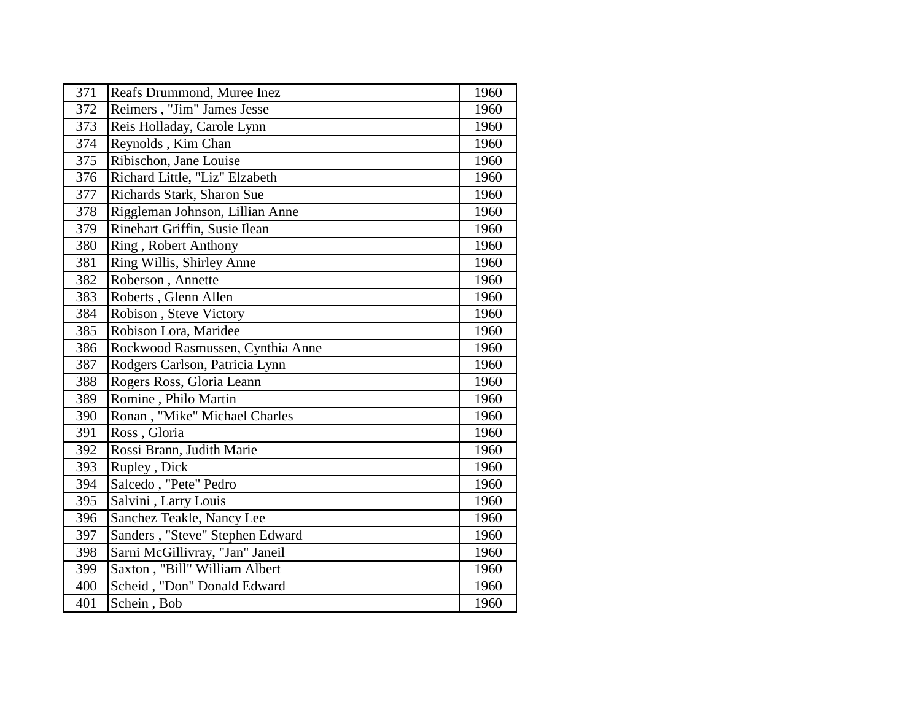| 371 | Reafs Drummond, Muree Inez       | 1960 |
|-----|----------------------------------|------|
| 372 | Reimers, "Jim" James Jesse       | 1960 |
| 373 | Reis Holladay, Carole Lynn       | 1960 |
| 374 | Reynolds, Kim Chan               | 1960 |
| 375 | Ribischon, Jane Louise           | 1960 |
| 376 | Richard Little, "Liz" Elzabeth   | 1960 |
| 377 | Richards Stark, Sharon Sue       | 1960 |
| 378 | Riggleman Johnson, Lillian Anne  | 1960 |
| 379 | Rinehart Griffin, Susie Ilean    | 1960 |
| 380 | Ring, Robert Anthony             | 1960 |
| 381 | Ring Willis, Shirley Anne        | 1960 |
| 382 | Roberson, Annette                | 1960 |
| 383 | Roberts, Glenn Allen             | 1960 |
| 384 | Robison, Steve Victory           | 1960 |
| 385 | Robison Lora, Maridee            | 1960 |
| 386 | Rockwood Rasmussen, Cynthia Anne | 1960 |
| 387 | Rodgers Carlson, Patricia Lynn   | 1960 |
| 388 | Rogers Ross, Gloria Leann        | 1960 |
| 389 | Romine, Philo Martin             | 1960 |
| 390 | Ronan, "Mike" Michael Charles    | 1960 |
| 391 | Ross, Gloria                     | 1960 |
| 392 | Rossi Brann, Judith Marie        | 1960 |
| 393 | Rupley, Dick                     | 1960 |
| 394 | Salcedo, "Pete" Pedro            | 1960 |
| 395 | Salvini, Larry Louis             | 1960 |
| 396 | Sanchez Teakle, Nancy Lee        | 1960 |
| 397 | Sanders, "Steve" Stephen Edward  | 1960 |
| 398 | Sarni McGillivray, "Jan" Janeil  | 1960 |
| 399 | Saxton, "Bill" William Albert    | 1960 |
| 400 | Scheid, "Don" Donald Edward      | 1960 |
| 401 | Schein, Bob                      | 1960 |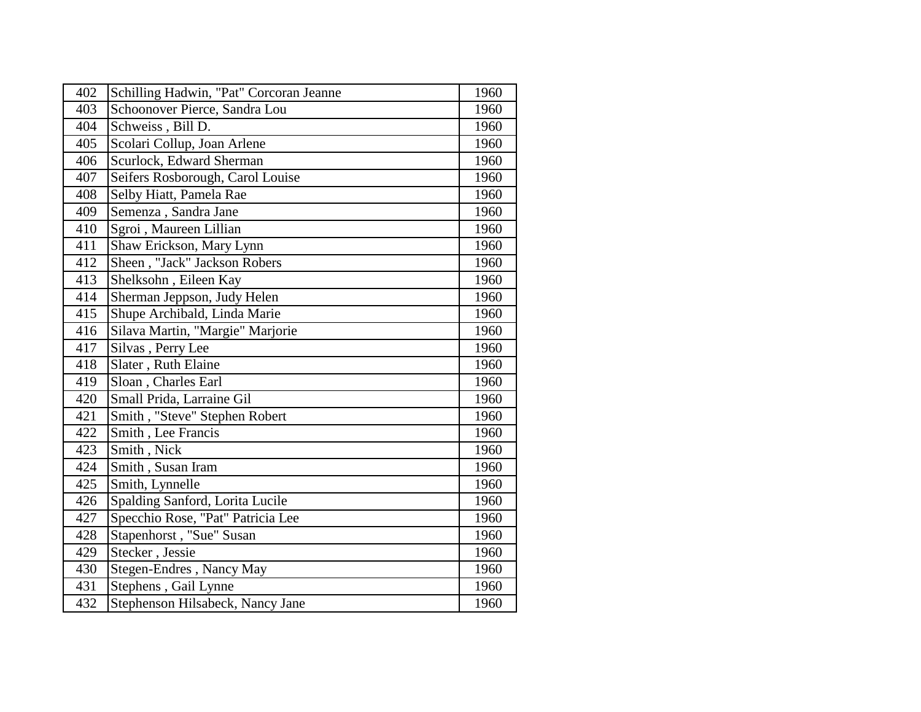| 402 | Schilling Hadwin, "Pat" Corcoran Jeanne | 1960 |
|-----|-----------------------------------------|------|
| 403 | Schoonover Pierce, Sandra Lou           | 1960 |
| 404 | Schweiss, Bill D.                       | 1960 |
| 405 | Scolari Collup, Joan Arlene             | 1960 |
| 406 | Scurlock, Edward Sherman                | 1960 |
| 407 | Seifers Rosborough, Carol Louise        | 1960 |
| 408 | Selby Hiatt, Pamela Rae                 | 1960 |
| 409 | Semenza, Sandra Jane                    | 1960 |
| 410 | Sgroi, Maureen Lillian                  | 1960 |
| 411 | Shaw Erickson, Mary Lynn                | 1960 |
| 412 | Sheen, "Jack" Jackson Robers            | 1960 |
| 413 | Shelksohn, Eileen Kay                   | 1960 |
| 414 | Sherman Jeppson, Judy Helen             | 1960 |
| 415 | Shupe Archibald, Linda Marie            | 1960 |
| 416 | Silava Martin, "Margie" Marjorie        | 1960 |
| 417 | Silvas, Perry Lee                       | 1960 |
| 418 | Slater, Ruth Elaine                     | 1960 |
| 419 | Sloan, Charles Earl                     | 1960 |
| 420 | Small Prida, Larraine Gil               | 1960 |
| 421 | Smith, "Steve" Stephen Robert           | 1960 |
| 422 | Smith, Lee Francis                      | 1960 |
| 423 | Smith, Nick                             | 1960 |
| 424 | Smith, Susan Iram                       | 1960 |
| 425 | Smith, Lynnelle                         | 1960 |
| 426 | Spalding Sanford, Lorita Lucile         | 1960 |
| 427 | Specchio Rose, "Pat" Patricia Lee       | 1960 |
| 428 | Stapenhorst, "Sue" Susan                | 1960 |
| 429 | Stecker, Jessie                         | 1960 |
| 430 | Stegen-Endres, Nancy May                | 1960 |
| 431 | Stephens, Gail Lynne                    | 1960 |
| 432 | Stephenson Hilsabeck, Nancy Jane        | 1960 |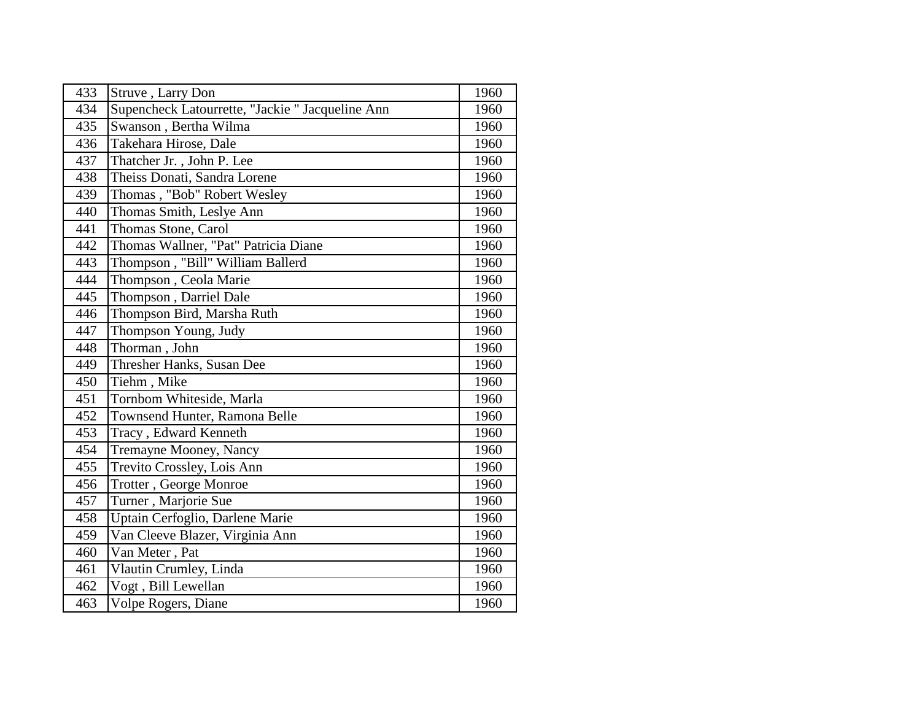| 433 | Struve, Larry Don                                | 1960 |
|-----|--------------------------------------------------|------|
| 434 | Supencheck Latourrette, "Jackie " Jacqueline Ann | 1960 |
| 435 | Swanson, Bertha Wilma                            | 1960 |
| 436 | Takehara Hirose, Dale                            | 1960 |
| 437 | Thatcher Jr., John P. Lee                        | 1960 |
| 438 | Theiss Donati, Sandra Lorene                     | 1960 |
| 439 | Thomas, "Bob" Robert Wesley                      | 1960 |
| 440 | Thomas Smith, Leslye Ann                         | 1960 |
| 441 | Thomas Stone, Carol                              | 1960 |
| 442 | Thomas Wallner, "Pat" Patricia Diane             | 1960 |
| 443 | Thompson, "Bill" William Ballerd                 | 1960 |
| 444 | Thompson, Ceola Marie                            | 1960 |
| 445 | Thompson, Darriel Dale                           | 1960 |
| 446 | Thompson Bird, Marsha Ruth                       | 1960 |
| 447 | Thompson Young, Judy                             | 1960 |
| 448 | Thorman, John                                    | 1960 |
| 449 | Thresher Hanks, Susan Dee                        | 1960 |
| 450 | Tiehm, Mike                                      | 1960 |
| 451 | Tornbom Whiteside, Marla                         | 1960 |
| 452 | Townsend Hunter, Ramona Belle                    | 1960 |
| 453 | Tracy, Edward Kenneth                            | 1960 |
| 454 | Tremayne Mooney, Nancy                           | 1960 |
| 455 | Trevito Crossley, Lois Ann                       | 1960 |
| 456 | Trotter, George Monroe                           | 1960 |
| 457 | Turner, Marjorie Sue                             | 1960 |
| 458 | Uptain Cerfoglio, Darlene Marie                  | 1960 |
| 459 | Van Cleeve Blazer, Virginia Ann                  | 1960 |
| 460 | Van Meter, Pat                                   | 1960 |
| 461 | Vlautin Crumley, Linda                           | 1960 |
| 462 | Vogt, Bill Lewellan                              | 1960 |
| 463 | <b>Volpe Rogers, Diane</b>                       | 1960 |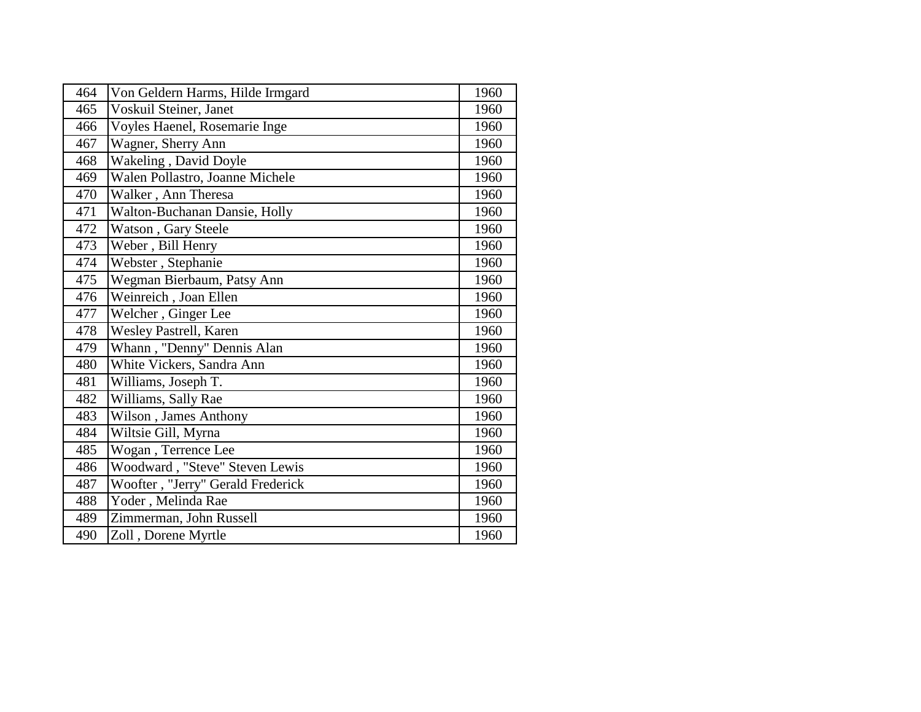| 464 | Von Geldern Harms, Hilde Irmgard  | 1960 |
|-----|-----------------------------------|------|
| 465 | Voskuil Steiner, Janet            | 1960 |
| 466 | Voyles Haenel, Rosemarie Inge     | 1960 |
| 467 | Wagner, Sherry Ann                | 1960 |
| 468 | Wakeling, David Doyle             | 1960 |
| 469 | Walen Pollastro, Joanne Michele   | 1960 |
| 470 | Walker, Ann Theresa               | 1960 |
| 471 | Walton-Buchanan Dansie, Holly     | 1960 |
| 472 | Watson, Gary Steele               | 1960 |
| 473 | Weber, Bill Henry                 | 1960 |
| 474 | Webster, Stephanie                | 1960 |
| 475 | Wegman Bierbaum, Patsy Ann        | 1960 |
| 476 | Weinreich, Joan Ellen             | 1960 |
| 477 | Welcher, Ginger Lee               | 1960 |
| 478 | Wesley Pastrell, Karen            | 1960 |
| 479 | Whann, "Denny" Dennis Alan        | 1960 |
| 480 | White Vickers, Sandra Ann         | 1960 |
| 481 | Williams, Joseph T.               | 1960 |
| 482 | Williams, Sally Rae               | 1960 |
| 483 | Wilson, James Anthony             | 1960 |
| 484 | Wiltsie Gill, Myrna               | 1960 |
| 485 | Wogan, Terrence Lee               | 1960 |
| 486 | Woodward, "Steve" Steven Lewis    | 1960 |
| 487 | Woofter, "Jerry" Gerald Frederick | 1960 |
| 488 | Yoder, Melinda Rae                | 1960 |
| 489 | Zimmerman, John Russell           | 1960 |
| 490 | Zoll, Dorene Myrtle               | 1960 |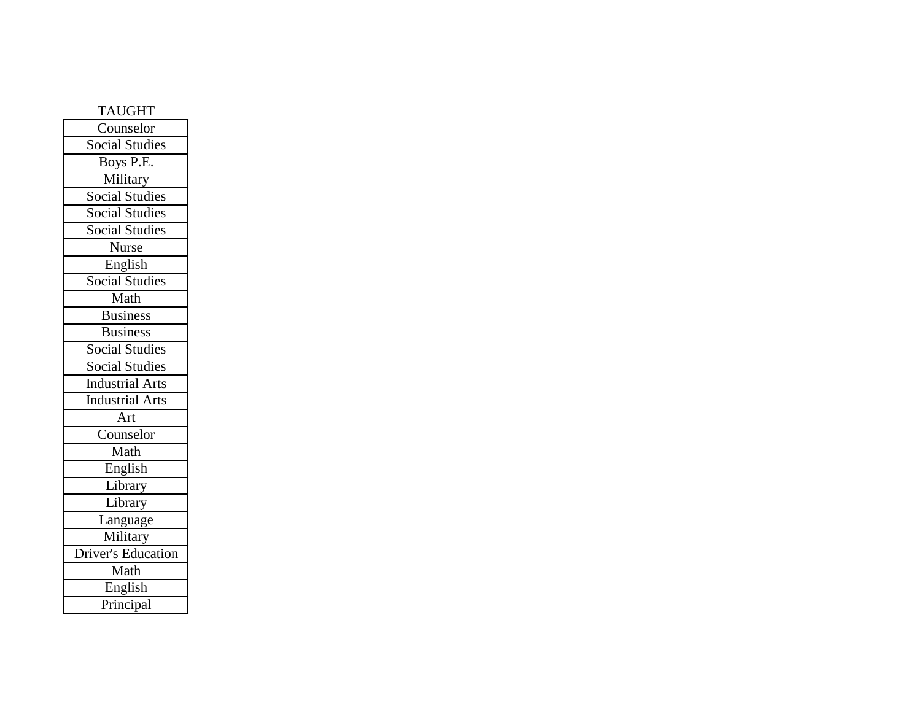| <b>TAUGHT</b>             |
|---------------------------|
| Counselor                 |
| <b>Social Studies</b>     |
| Boys P.E.                 |
| Military                  |
| <b>Social Studies</b>     |
| <b>Social Studies</b>     |
| <b>Social Studies</b>     |
| <b>Nurse</b>              |
| English                   |
| <b>Social Studies</b>     |
| Math                      |
| <b>Business</b>           |
| <b>Business</b>           |
| <b>Social Studies</b>     |
| Social Studies            |
| <b>Industrial Arts</b>    |
| <b>Industrial Arts</b>    |
| Art                       |
| Counselor                 |
| Math                      |
| English                   |
| Library                   |
| Library                   |
| Language                  |
| Military                  |
| <b>Driver's Education</b> |
| Math                      |
| English                   |
| Principal                 |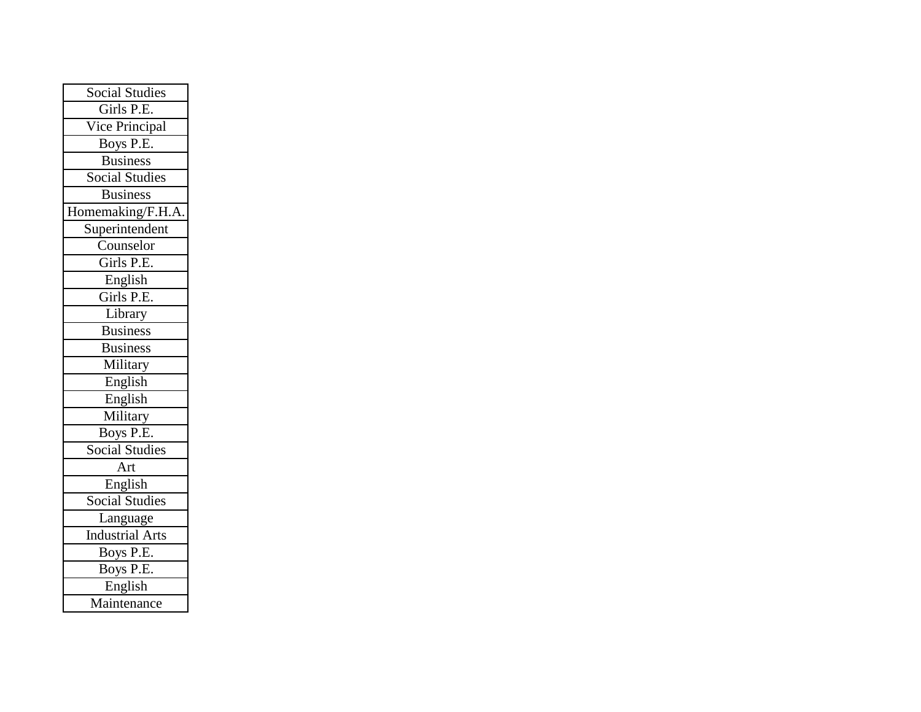| <b>Social Studies</b>  |
|------------------------|
| Girls P.E.             |
| Vice Principal         |
| Boys P.E.              |
| <b>Business</b>        |
| <b>Social Studies</b>  |
| <b>Business</b>        |
| Homemaking/F.H.A.      |
| Superintendent         |
| Counselor              |
| Girls P.E.             |
| English                |
| Girls P.E.             |
| Library                |
| <b>Business</b>        |
| <b>Business</b>        |
| Military               |
| English                |
| English                |
| Military               |
| Boys P.E.              |
| <b>Social Studies</b>  |
| Art                    |
| English                |
| <b>Social Studies</b>  |
| Language               |
| <b>Industrial Arts</b> |
| Boys P.E.              |
| Boys P.E.              |
| English                |
| Maintenance            |